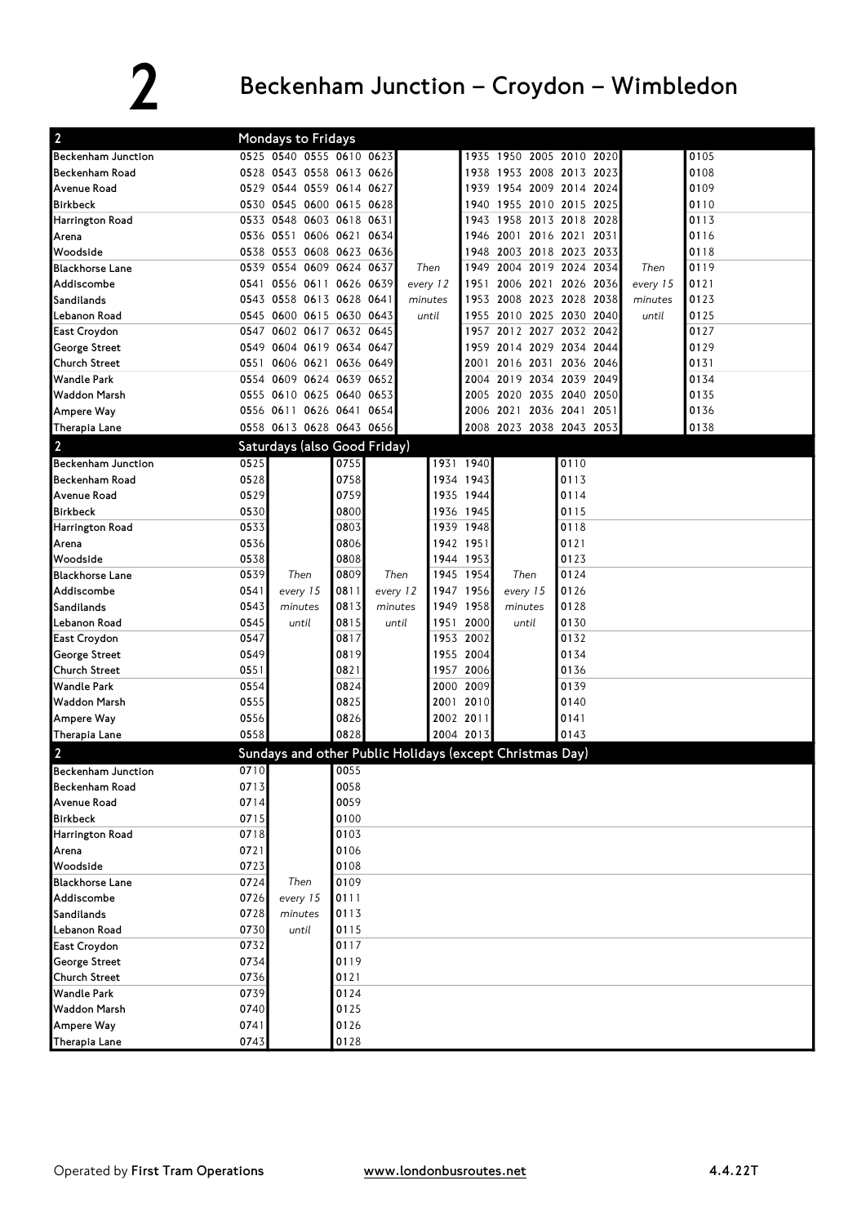## 2 Beckenham Junction – Croydon – Wimbledon

| $\overline{2}$                             |              | Mondays to Fridays                                       |                |          |                        |              |                                                 |              |          |              |
|--------------------------------------------|--------------|----------------------------------------------------------|----------------|----------|------------------------|--------------|-------------------------------------------------|--------------|----------|--------------|
|                                            |              | 0525 0540 0555 0610 0623                                 |                |          |                        |              |                                                 |              |          | 0105         |
| <b>Beckenham Junction</b>                  |              | 0528 0543 0558 0613 0626                                 |                |          |                        |              | 1935 1950 2005 2010 2020                        |              |          |              |
| <b>Beckenham Road</b>                      |              |                                                          |                |          |                        | 1938         | 1953 2008 2013 2023                             |              |          | 0108         |
| Avenue Road<br><b>Birkbeck</b>             |              | 0529 0544 0559 0614 0627                                 |                |          |                        |              | 1939 1954 2009 2014 2024<br>1955 2010 2015 2025 |              |          | 0109         |
|                                            |              | 0530 0545 0600 0615 0628                                 |                |          |                        | 1940         |                                                 |              |          | 0110<br>0113 |
| <b>Harrington Road</b><br>Arena            | 0536 0551    | 0533 0548 0603 0618 0631                                 | 0606 0621 0634 |          |                        | 1943<br>1946 | 1958 2013 2018 2028<br>2001 2016 2021 2031      |              |          | 0116         |
| Woodside                                   |              | 0538 0553 0608 0623 0636                                 |                |          |                        | 1948         | 2003 2018 2023 2033                             |              |          | 0118         |
| <b>Blackhorse Lane</b>                     |              | 0539 0554 0609 0624 0637                                 |                |          | Then                   | 1949         | 2004 2019 2024 2034                             |              | Then     | 0119         |
| Addiscombe                                 |              | 0541 0556 0611 0626 0639                                 |                |          | every 12               | 1951         | 2006 2021 2026 2036                             |              | every 15 | 0121         |
| Sandilands                                 |              | 0543 0558 0613 0628 0641                                 |                |          | minutes                |              | 1953 2008 2023 2028 2038                        |              | minutes  | 0123         |
| Lebanon Road                               | 0545         | 0600 0615 0630 0643                                      |                |          | until                  | 1955         | 2010 2025 2030 2040                             |              | until    | 0125         |
| East Croydon                               |              | 0547 0602 0617 0632 0645                                 |                |          |                        |              | 1957 2012 2027 2032 2042                        |              |          | 0127         |
| George Street                              |              | 0549 0604 0619 0634 0647                                 |                |          |                        | 1959         | 2014 2029 2034 2044                             |              |          | 0129         |
| <b>Church Street</b>                       |              | 0551 0606 0621 0636 0649                                 |                |          |                        | 2001         | 2016 2031 2036 2046                             |              |          | 0131         |
| <b>Wandle Park</b>                         |              | 0554 0609 0624 0639 0652                                 |                |          |                        |              | 2004 2019 2034 2039 2049                        |              |          | 0134         |
| <b>Waddon Marsh</b>                        |              | 0555 0610 0625 0640 0653                                 |                |          |                        |              | 2005 2020 2035 2040 2050                        |              |          | 0135         |
| Ampere Way                                 |              | 0556 0611 0626 0641 0654                                 |                |          |                        |              | 2006 2021 2036 2041 2051                        |              |          | 0136         |
| Therapia Lane                              |              | 0558 0613 0628 0643 0656                                 |                |          |                        |              | 2008 2023 2038 2043 2053                        |              |          | 0138         |
|                                            |              |                                                          |                |          |                        |              |                                                 |              |          |              |
| $\overline{2}$                             |              | Saturdays (also Good Friday)                             |                |          |                        |              |                                                 |              |          |              |
| <b>Beckenham Junction</b>                  | 0525         |                                                          | 0755           |          | 1931 1940              |              |                                                 | 0110         |          |              |
| <b>Beckenham Road</b>                      | 0528         |                                                          | 0758           |          | 1934 1943              |              |                                                 | 0113         |          |              |
| Avenue Road                                | 0529         |                                                          | 0759           |          | 1935 1944              |              |                                                 | 0114         |          |              |
| <b>Birkbeck</b>                            | 0530         |                                                          | 0800           |          | 1936 1945              |              |                                                 | 0115         |          |              |
| Harrington Road                            | 0533         |                                                          | 0803           |          | 1939 1948              |              |                                                 | 0118         |          |              |
| Arena                                      | 0536         |                                                          | 0806           |          | 1942 1951              |              |                                                 | 0121         |          |              |
| Woodside                                   | 0538         |                                                          | 0808           |          | 1944 1953              |              |                                                 | 0123         |          |              |
| <b>Blackhorse Lane</b>                     | 0539         | Then                                                     | 0809           | Then     | 1945 1954              |              | Then                                            | 0124         |          |              |
| Addiscombe                                 | 0541         | every 15                                                 | 0811           | every 12 | 1947                   | 1956         | every 15                                        | 0126         |          |              |
| Sandilands                                 | 0543         | minutes                                                  | 0813           | minutes  | 1949                   | 1958         | minutes                                         | 0128         |          |              |
| Lebanon Road                               | 0545<br>0547 | until                                                    | 0815<br>0817   | until    | 1951                   | 2000         | until                                           | 0130         |          |              |
| East Croydon                               |              |                                                          | 0819           |          | 1953 2002<br>1955 2004 |              |                                                 | 0132<br>0134 |          |              |
| George Street                              | 0549<br>0551 |                                                          | 0821           |          | 1957 2006              |              |                                                 | 0136         |          |              |
| <b>Church Street</b><br><b>Wandle Park</b> | 0554         |                                                          | 0824           |          | 2000 2009              |              |                                                 | 0139         |          |              |
| <b>Waddon Marsh</b>                        | 0555         |                                                          | 0825           |          | 2001 2010              |              |                                                 | 0140         |          |              |
|                                            | 0556         |                                                          | 0826           |          | 2002 2011              |              |                                                 | 0141         |          |              |
| <b>Ampere Way</b>                          | 0558         |                                                          | 0828           |          | 2004 2013              |              |                                                 | 0143         |          |              |
| Therapia Lane                              |              |                                                          |                |          |                        |              |                                                 |              |          |              |
| $\overline{2}$                             |              | Sundays and other Public Holidays (except Christmas Day) |                |          |                        |              |                                                 |              |          |              |
| <b>Beckenham Junction</b>                  | 0710         |                                                          | 0055           |          |                        |              |                                                 |              |          |              |
| <b>Beckenham Road</b>                      | 0713         |                                                          | 0058           |          |                        |              |                                                 |              |          |              |
| Avenue Road                                | 0714         |                                                          | 0059           |          |                        |              |                                                 |              |          |              |
| <b>Birkbeck</b>                            | 0715         |                                                          | 0100           |          |                        |              |                                                 |              |          |              |
| Harrington Road                            | 0718         |                                                          | 0103           |          |                        |              |                                                 |              |          |              |
| Arena                                      | 0721         |                                                          | 0106           |          |                        |              |                                                 |              |          |              |
| Woodside                                   | 0723         |                                                          | 0108           |          |                        |              |                                                 |              |          |              |
| <b>Blackhorse Lane</b>                     | 0724         | Then                                                     | 0109           |          |                        |              |                                                 |              |          |              |
| Addiscombe                                 | 0726         | every 15                                                 | 0111           |          |                        |              |                                                 |              |          |              |
| Sandilands                                 | 0728         | minutes                                                  | 0113           |          |                        |              |                                                 |              |          |              |
| Lebanon Road                               | 0730         | until                                                    | 0115           |          |                        |              |                                                 |              |          |              |
| East Croydon                               | 0732         |                                                          | 0117           |          |                        |              |                                                 |              |          |              |
| George Street                              | 0734         |                                                          | 0119           |          |                        |              |                                                 |              |          |              |
| <b>Church Street</b>                       | 0736         |                                                          | 0121           |          |                        |              |                                                 |              |          |              |
| <b>Wandle Park</b>                         | 0739         |                                                          | 0124           |          |                        |              |                                                 |              |          |              |
| <b>Waddon Marsh</b>                        | 0740         |                                                          | 0125           |          |                        |              |                                                 |              |          |              |
| <b>Ampere Way</b>                          | 0741         |                                                          | 0126           |          |                        |              |                                                 |              |          |              |
| Therapia Lane                              | 0743         |                                                          | 0128           |          |                        |              |                                                 |              |          |              |